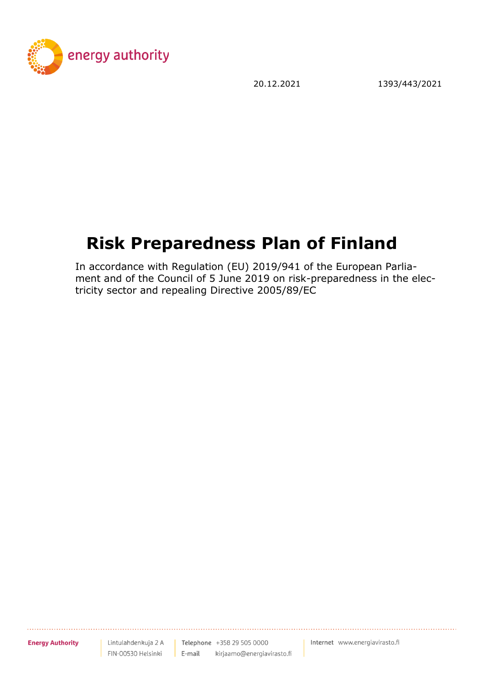

20.12.2021 1393/443/2021

# **Risk Preparedness Plan of Finland**

In accordance with Regulation (EU) 2019/941 of the European Parliament and of the Council of 5 June 2019 on risk-preparedness in the electricity sector and repealing Directive 2005/89/EC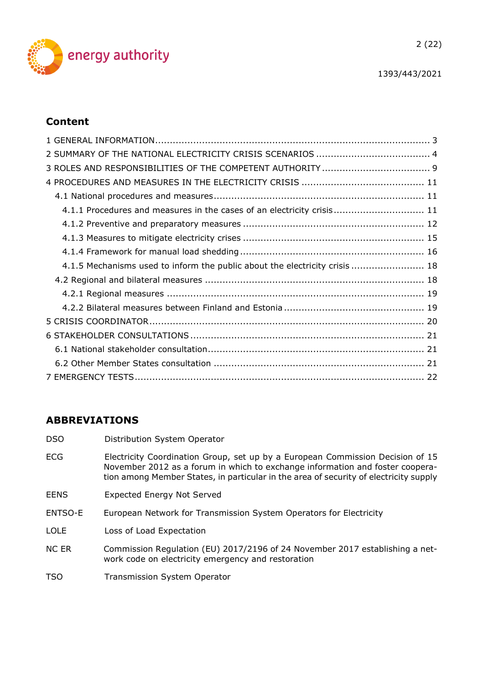

## **Content**

| 4.1.1 Procedures and measures in the cases of an electricity crisis 11      |  |
|-----------------------------------------------------------------------------|--|
|                                                                             |  |
|                                                                             |  |
|                                                                             |  |
| 4.1.5 Mechanisms used to inform the public about the electricity crisis  18 |  |
|                                                                             |  |
|                                                                             |  |
|                                                                             |  |
|                                                                             |  |
|                                                                             |  |
|                                                                             |  |
|                                                                             |  |
|                                                                             |  |

## **ABBREVIATIONS**

- DSO Distribution System Operator
- ECG Electricity Coordination Group, set up by a European Commission Decision of 15 November 2012 as a forum in which to exchange information and foster cooperation among Member States, in particular in the area of security of electricity supply
- EENS Expected Energy Not Served
- ENTSO-E European Network for Transmission System Operators for Electricity
- LOLE Loss of Load Expectation
- NC ER Commission Regulation (EU) 2017/2196 of 24 November 2017 establishing a network code on electricity emergency and restoration
- TSO Transmission System Operator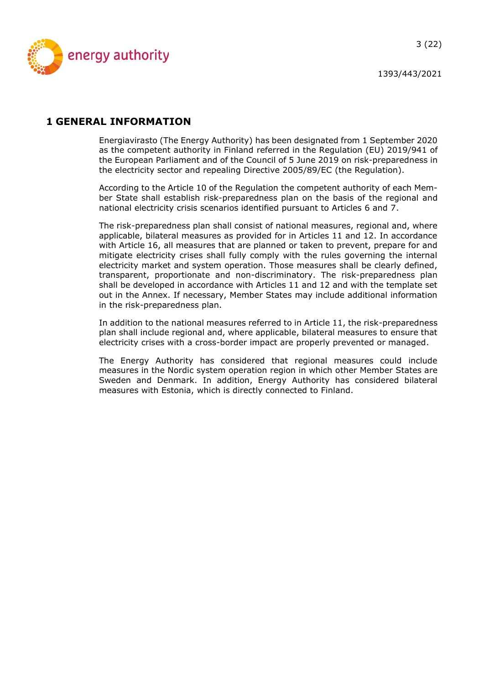

## <span id="page-2-0"></span>**1 GENERAL INFORMATION**

Energiavirasto (The Energy Authority) has been designated from 1 September 2020 as the competent authority in Finland referred in the Regulation (EU) 2019/941 of the European Parliament and of the Council of 5 June 2019 on risk-preparedness in the electricity sector and repealing Directive 2005/89/EC (the Regulation).

According to the Article 10 of the Regulation the competent authority of each Member State shall establish risk-preparedness plan on the basis of the regional and national electricity crisis scenarios identified pursuant to Articles 6 and 7.

The risk-preparedness plan shall consist of national measures, regional and, where applicable, bilateral measures as provided for in Articles 11 and 12. In accordance with Article 16, all measures that are planned or taken to prevent, prepare for and mitigate electricity crises shall fully comply with the rules governing the internal electricity market and system operation. Those measures shall be clearly defined, transparent, proportionate and non-discriminatory. The risk-preparedness plan shall be developed in accordance with Articles 11 and 12 and with the template set out in the Annex. If necessary, Member States may include additional information in the risk-preparedness plan.

In addition to the national measures referred to in Article 11, the risk-preparedness plan shall include regional and, where applicable, bilateral measures to ensure that electricity crises with a cross-border impact are properly prevented or managed.

The Energy Authority has considered that regional measures could include measures in the Nordic system operation region in which other Member States are Sweden and Denmark. In addition, Energy Authority has considered bilateral measures with Estonia, which is directly connected to Finland.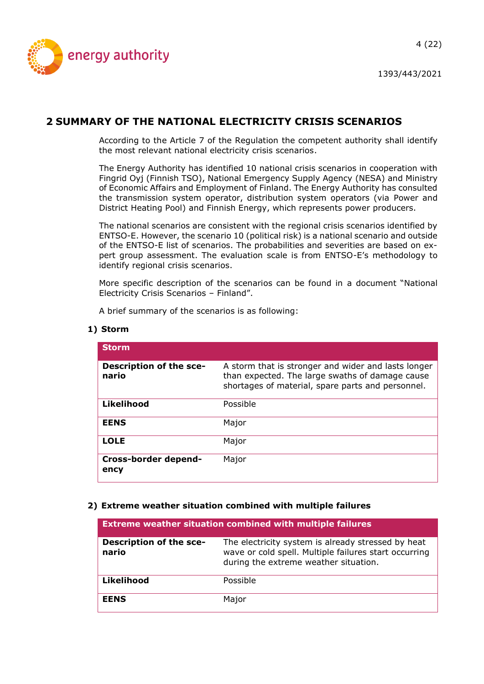

## <span id="page-3-0"></span>**2 SUMMARY OF THE NATIONAL ELECTRICITY CRISIS SCENARIOS**

According to the Article 7 of the Regulation the competent authority shall identify the most relevant national electricity crisis scenarios.

The Energy Authority has identified 10 national crisis scenarios in cooperation with Fingrid Oyj (Finnish TSO), National Emergency Supply Agency (NESA) and Ministry of Economic Affairs and Employment of Finland. The Energy Authority has consulted the transmission system operator, distribution system operators (via Power and District Heating Pool) and Finnish Energy, which represents power producers.

The national scenarios are consistent with the regional crisis scenarios identified by ENTSO-E. However, the scenario 10 (political risk) is a national scenario and outside of the ENTSO-E list of scenarios. The probabilities and severities are based on expert group assessment. The evaluation scale is from ENTSO-E's methodology to identify regional crisis scenarios.

More specific description of the scenarios can be found in a document "National Electricity Crisis Scenarios – Finland".

A brief summary of the scenarios is as following:

#### **1) Storm**

| <b>Storm</b>                     |                                                                                                                                                             |
|----------------------------------|-------------------------------------------------------------------------------------------------------------------------------------------------------------|
| Description of the sce-<br>nario | A storm that is stronger and wider and lasts longer<br>than expected. The large swaths of damage cause<br>shortages of material, spare parts and personnel. |
| Likelihood                       | Possible                                                                                                                                                    |
| <b>EENS</b>                      | Major                                                                                                                                                       |
| <b>LOLE</b>                      | Major                                                                                                                                                       |
| Cross-border depend-<br>ency     | Major                                                                                                                                                       |

#### **2) Extreme weather situation combined with multiple failures**

| <b>Extreme weather situation combined with multiple failures</b> |                                                                                                                                                      |
|------------------------------------------------------------------|------------------------------------------------------------------------------------------------------------------------------------------------------|
| Description of the sce-<br>nario                                 | The electricity system is already stressed by heat<br>wave or cold spell. Multiple failures start occurring<br>during the extreme weather situation. |
| Likelihood                                                       | Possible                                                                                                                                             |
| <b>EENS</b>                                                      | Major                                                                                                                                                |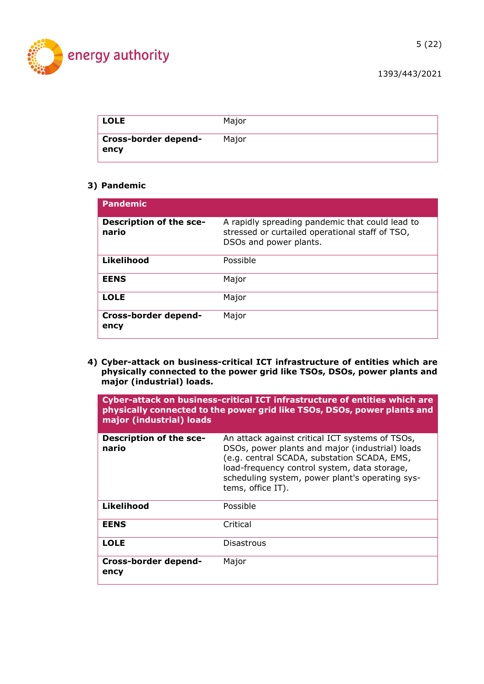

| <b>LOLE</b>                  | Major |
|------------------------------|-------|
| Cross-border depend-<br>ency | Maior |

#### **3) Pandemic**

| <b>Pandemic</b>                  |                                                                                                                              |
|----------------------------------|------------------------------------------------------------------------------------------------------------------------------|
| Description of the sce-<br>nario | A rapidly spreading pandemic that could lead to<br>stressed or curtailed operational staff of TSO,<br>DSOs and power plants. |
| Likelihood                       | Possible                                                                                                                     |
| <b>EENS</b>                      | Major                                                                                                                        |
| <b>LOLE</b>                      | Major                                                                                                                        |
| Cross-border depend-<br>ency     | Major                                                                                                                        |

**4) Cyber-attack on business-critical ICT infrastructure of entities which are physically connected to the power grid like TSOs, DSOs, power plants and major (industrial) loads.**

| major (industrial) loads                | Cyber-attack on business-critical ICT infrastructure of entities which are<br>physically connected to the power grid like TSOs, DSOs, power plants and                                                                                                                    |
|-----------------------------------------|---------------------------------------------------------------------------------------------------------------------------------------------------------------------------------------------------------------------------------------------------------------------------|
| <b>Description of the sce-</b><br>nario | An attack against critical ICT systems of TSOs,<br>DSOs, power plants and major (industrial) loads<br>(e.g. central SCADA, substation SCADA, EMS,<br>load-frequency control system, data storage,<br>scheduling system, power plant's operating sys-<br>tems, office IT). |
| Likelihood                              | Possible                                                                                                                                                                                                                                                                  |
| <b>EENS</b>                             | Critical                                                                                                                                                                                                                                                                  |
| <b>LOLE</b>                             | <b>Disastrous</b>                                                                                                                                                                                                                                                         |
| Cross-border depend-<br>ency            | Major                                                                                                                                                                                                                                                                     |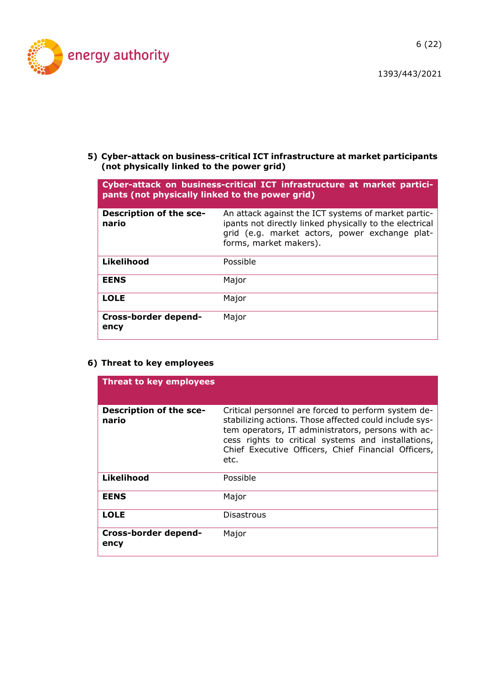

6 (22)

1393/443/2021

**5) Cyber-attack on business-critical ICT infrastructure at market participants (not physically linked to the power grid)**

| Cyber-attack on business-critical ICT infrastructure at market partici-<br>pants (not physically linked to the power grid) |                                                                                                                                                                                            |
|----------------------------------------------------------------------------------------------------------------------------|--------------------------------------------------------------------------------------------------------------------------------------------------------------------------------------------|
| <b>Description of the sce-</b><br>nario                                                                                    | An attack against the ICT systems of market partic-<br>ipants not directly linked physically to the electrical<br>grid (e.g. market actors, power exchange plat-<br>forms, market makers). |
| Likelihood                                                                                                                 | Possible                                                                                                                                                                                   |
| <b>EENS</b>                                                                                                                | Major                                                                                                                                                                                      |
| <b>LOLE</b>                                                                                                                | Major                                                                                                                                                                                      |
| Cross-border depend-<br>ency                                                                                               | Major                                                                                                                                                                                      |

#### **6) Threat to key employees**

| <b>Threat to key employees</b>          |                                                                                                                                                                                                                                                                                          |
|-----------------------------------------|------------------------------------------------------------------------------------------------------------------------------------------------------------------------------------------------------------------------------------------------------------------------------------------|
| <b>Description of the sce-</b><br>nario | Critical personnel are forced to perform system de-<br>stabilizing actions. Those affected could include sys-<br>tem operators, IT administrators, persons with ac-<br>cess rights to critical systems and installations,<br>Chief Executive Officers, Chief Financial Officers,<br>etc. |
| <b>Likelihood</b>                       | Possible                                                                                                                                                                                                                                                                                 |
| <b>EENS</b>                             | Major                                                                                                                                                                                                                                                                                    |
| <b>LOLE</b>                             | Disastrous                                                                                                                                                                                                                                                                               |
| <b>Cross-border depend-</b><br>ency     | Major                                                                                                                                                                                                                                                                                    |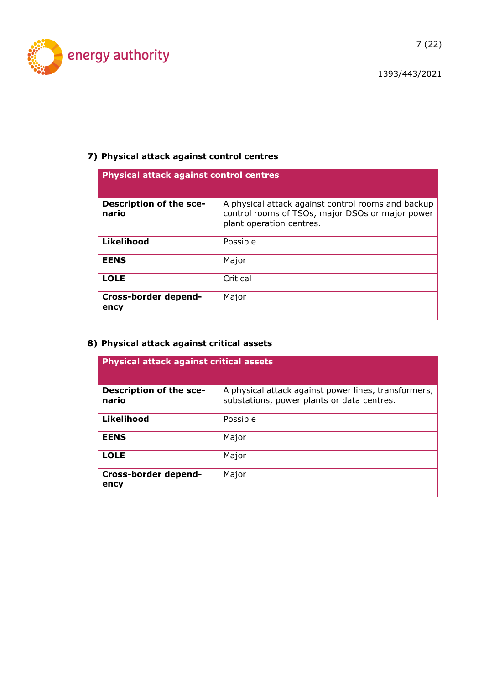

## **7) Physical attack against control centres**

| <b>Physical attack against control centres</b> |                                                                                                                                    |
|------------------------------------------------|------------------------------------------------------------------------------------------------------------------------------------|
| <b>Description of the sce-</b><br>nario        | A physical attack against control rooms and backup<br>control rooms of TSOs, major DSOs or major power<br>plant operation centres. |
| Likelihood                                     | Possible                                                                                                                           |
| <b>EENS</b>                                    | Major                                                                                                                              |
| <b>LOLE</b>                                    | Critical                                                                                                                           |
| <b>Cross-border depend-</b><br>ency            | Major                                                                                                                              |

## **8) Physical attack against critical assets**

| <b>Physical attack against critical assets</b> |                                                                                                    |
|------------------------------------------------|----------------------------------------------------------------------------------------------------|
| <b>Description of the sce-</b><br>nario        | A physical attack against power lines, transformers,<br>substations, power plants or data centres. |
| Likelihood                                     | Possible                                                                                           |
| <b>EENS</b>                                    | Major                                                                                              |
| <b>LOLE</b>                                    | Major                                                                                              |
| Cross-border depend-<br>ency                   | Major                                                                                              |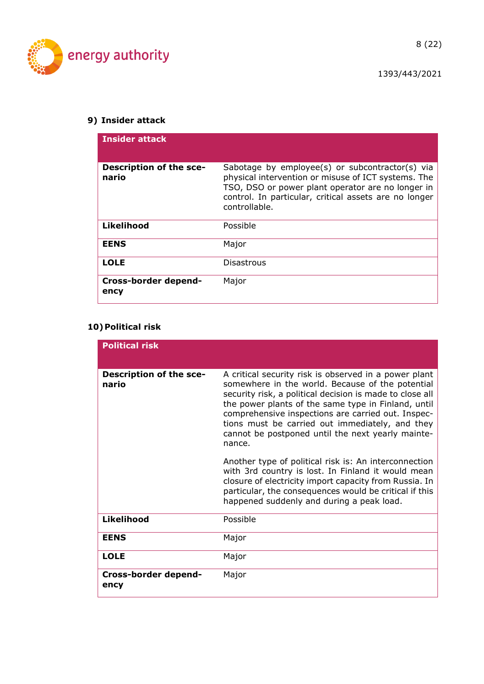

8 (22)

## **9) Insider attack**

| <b>Insider attack</b>                   |                                                                                                                                                                                                                                       |
|-----------------------------------------|---------------------------------------------------------------------------------------------------------------------------------------------------------------------------------------------------------------------------------------|
| <b>Description of the sce-</b><br>nario | Sabotage by employee(s) or subcontractor(s) via<br>physical intervention or misuse of ICT systems. The<br>TSO, DSO or power plant operator are no longer in<br>control. In particular, critical assets are no longer<br>controllable. |
| <b>Likelihood</b>                       | Possible                                                                                                                                                                                                                              |
| <b>EENS</b>                             | Major                                                                                                                                                                                                                                 |
| <b>LOLE</b>                             | Disastrous                                                                                                                                                                                                                            |
| Cross-border depend-<br>ency            | Major                                                                                                                                                                                                                                 |

## **10)Political risk**

| <b>Political risk</b>            |                                                                                                                                                                                                                                                                                                                                                                                                      |
|----------------------------------|------------------------------------------------------------------------------------------------------------------------------------------------------------------------------------------------------------------------------------------------------------------------------------------------------------------------------------------------------------------------------------------------------|
| Description of the sce-<br>nario | A critical security risk is observed in a power plant<br>somewhere in the world. Because of the potential<br>security risk, a political decision is made to close all<br>the power plants of the same type in Finland, until<br>comprehensive inspections are carried out. Inspec-<br>tions must be carried out immediately, and they<br>cannot be postponed until the next yearly mainte-<br>nance. |
|                                  | Another type of political risk is: An interconnection<br>with 3rd country is lost. In Finland it would mean<br>closure of electricity import capacity from Russia. In<br>particular, the consequences would be critical if this<br>happened suddenly and during a peak load.                                                                                                                         |
| <b>Likelihood</b>                | Possible                                                                                                                                                                                                                                                                                                                                                                                             |
| <b>EENS</b>                      | Major                                                                                                                                                                                                                                                                                                                                                                                                |
| <b>LOLE</b>                      | Major                                                                                                                                                                                                                                                                                                                                                                                                |
| Cross-border depend-<br>ency     | Major                                                                                                                                                                                                                                                                                                                                                                                                |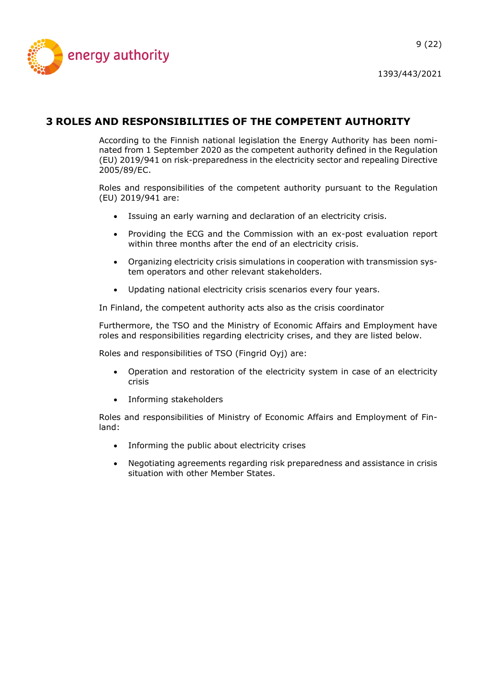

## <span id="page-8-0"></span>**3 ROLES AND RESPONSIBILITIES OF THE COMPETENT AUTHORITY**

According to the Finnish national legislation the Energy Authority has been nominated from 1 September 2020 as the competent authority defined in the Regulation (EU) 2019/941 on risk-preparedness in the electricity sector and repealing Directive 2005/89/EC.

Roles and responsibilities of the competent authority pursuant to the Regulation (EU) 2019/941 are:

- Issuing an early warning and declaration of an electricity crisis.
- Providing the ECG and the Commission with an ex-post evaluation report within three months after the end of an electricity crisis.
- Organizing electricity crisis simulations in cooperation with transmission system operators and other relevant stakeholders.
- Updating national electricity crisis scenarios every four years.

In Finland, the competent authority acts also as the crisis coordinator

Furthermore, the TSO and the Ministry of Economic Affairs and Employment have roles and responsibilities regarding electricity crises, and they are listed below.

Roles and responsibilities of TSO (Fingrid Oyj) are:

- Operation and restoration of the electricity system in case of an electricity crisis
- Informing stakeholders

Roles and responsibilities of Ministry of Economic Affairs and Employment of Finland:

- Informing the public about electricity crises
- Negotiating agreements regarding risk preparedness and assistance in crisis situation with other Member States.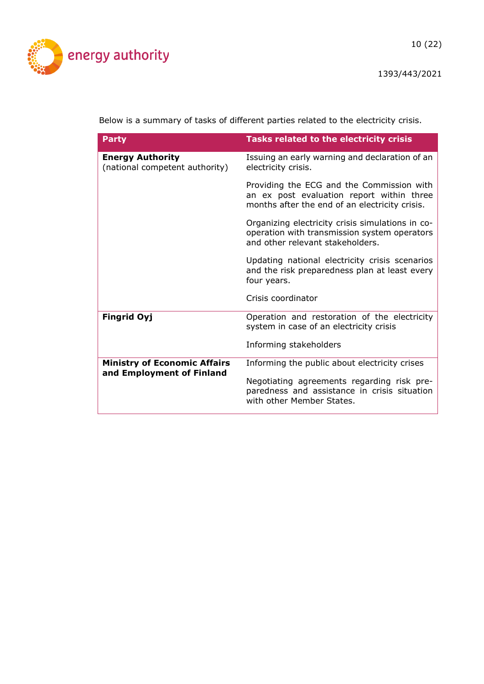energy authority

Below is a summary of tasks of different parties related to the electricity crisis.

| <b>Party</b>                                                     | <b>Tasks related to the electricity crisis</b>                                                                                           |
|------------------------------------------------------------------|------------------------------------------------------------------------------------------------------------------------------------------|
| <b>Energy Authority</b><br>(national competent authority)        | Issuing an early warning and declaration of an<br>electricity crisis.                                                                    |
|                                                                  | Providing the ECG and the Commission with<br>an ex post evaluation report within three<br>months after the end of an electricity crisis. |
|                                                                  | Organizing electricity crisis simulations in co-<br>operation with transmission system operators<br>and other relevant stakeholders.     |
|                                                                  | Updating national electricity crisis scenarios<br>and the risk preparedness plan at least every<br>four years.                           |
|                                                                  | Crisis coordinator                                                                                                                       |
| <b>Fingrid Oyj</b>                                               | Operation and restoration of the electricity<br>system in case of an electricity crisis                                                  |
|                                                                  | Informing stakeholders                                                                                                                   |
| <b>Ministry of Economic Affairs</b><br>and Employment of Finland | Informing the public about electricity crises                                                                                            |
|                                                                  | Negotiating agreements regarding risk pre-<br>paredness and assistance in crisis situation<br>with other Member States.                  |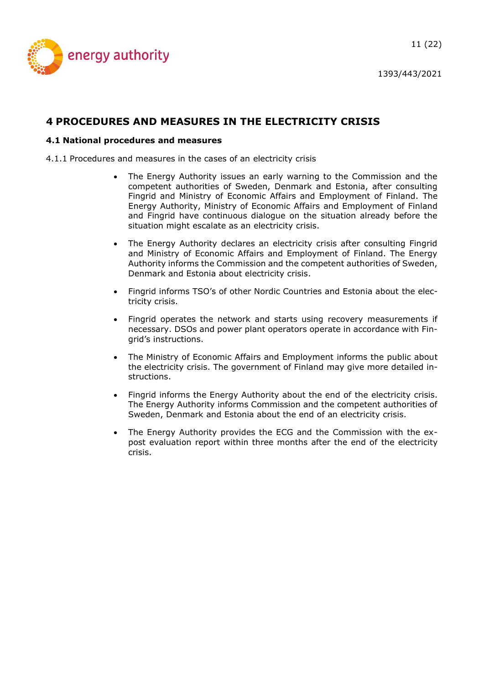

## <span id="page-10-0"></span>**4 PROCEDURES AND MEASURES IN THE ELECTRICITY CRISIS**

#### <span id="page-10-1"></span>**4.1 National procedures and measures**

<span id="page-10-2"></span>4.1.1 Procedures and measures in the cases of an electricity crisis

- The Energy Authority issues an early warning to the Commission and the competent authorities of Sweden, Denmark and Estonia, after consulting Fingrid and Ministry of Economic Affairs and Employment of Finland. The Energy Authority, Ministry of Economic Affairs and Employment of Finland and Fingrid have continuous dialogue on the situation already before the situation might escalate as an electricity crisis.
- The Energy Authority declares an electricity crisis after consulting Fingrid and Ministry of Economic Affairs and Employment of Finland. The Energy Authority informs the Commission and the competent authorities of Sweden, Denmark and Estonia about electricity crisis.
- Fingrid informs TSO's of other Nordic Countries and Estonia about the electricity crisis.
- Fingrid operates the network and starts using recovery measurements if necessary. DSOs and power plant operators operate in accordance with Fingrid's instructions.
- The Ministry of Economic Affairs and Employment informs the public about the electricity crisis. The government of Finland may give more detailed instructions.
- Fingrid informs the Energy Authority about the end of the electricity crisis. The Energy Authority informs Commission and the competent authorities of Sweden, Denmark and Estonia about the end of an electricity crisis.
- The Energy Authority provides the ECG and the Commission with the expost evaluation report within three months after the end of the electricity crisis.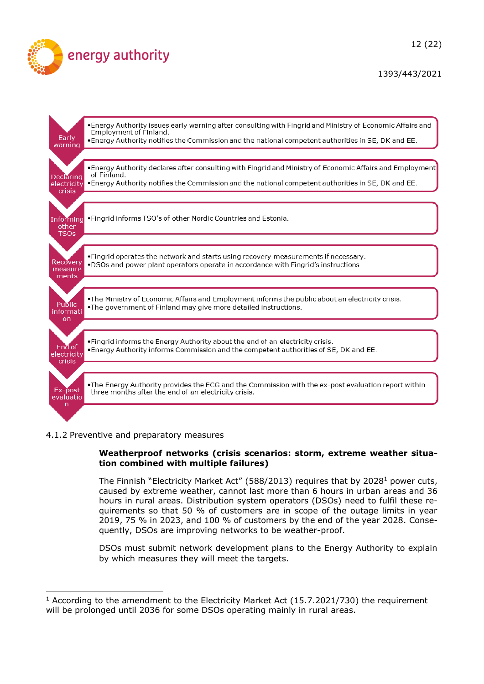



#### <span id="page-11-0"></span>4.1.2 Preventive and preparatory measures

#### **Weatherproof networks (crisis scenarios: storm, extreme weather situation combined with multiple failures)**

The Finnish "Electricity Market Act" (588/2013) requires that by 2028<sup>1</sup> power cuts, caused by extreme weather, cannot last more than 6 hours in urban areas and 36 hours in rural areas. Distribution system operators (DSOs) need to fulfil these requirements so that 50 % of customers are in scope of the outage limits in year 2019, 75 % in 2023, and 100 % of customers by the end of the year 2028. Consequently, DSOs are improving networks to be weather-proof.

DSOs must submit network development plans to the Energy Authority to explain by which measures they will meet the targets.

<sup>&</sup>lt;sup>1</sup> According to the amendment to the Electricity Market Act  $(15.7.2021/730)$  the requirement will be prolonged until 2036 for some DSOs operating mainly in rural areas.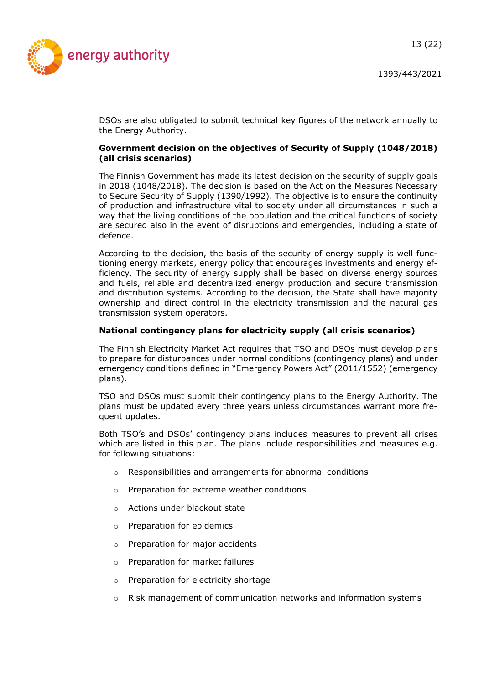13 (22)



DSOs are also obligated to submit technical key figures of the network annually to the Energy Authority.

#### **Government decision on the objectives of Security of Supply (1048/2018) (all crisis scenarios)**

The Finnish Government has made its latest decision on the security of supply goals in 2018 (1048/2018). The decision is based on the Act on the Measures Necessary to Secure Security of Supply (1390/1992). The objective is to ensure the continuity of production and infrastructure vital to society under all circumstances in such a way that the living conditions of the population and the critical functions of society are secured also in the event of disruptions and emergencies, including a state of defence.

According to the decision, the basis of the security of energy supply is well functioning energy markets, energy policy that encourages investments and energy efficiency. The security of energy supply shall be based on diverse energy sources and fuels, reliable and decentralized energy production and secure transmission and distribution systems. According to the decision, the State shall have majority ownership and direct control in the electricity transmission and the natural gas transmission system operators.

#### **National contingency plans for electricity supply (all crisis scenarios)**

The Finnish Electricity Market Act requires that TSO and DSOs must develop plans to prepare for disturbances under normal conditions (contingency plans) and under emergency conditions defined in "Emergency Powers Act" (2011/1552) (emergency plans).

TSO and DSOs must submit their contingency plans to the Energy Authority. The plans must be updated every three years unless circumstances warrant more frequent updates.

Both TSO's and DSOs' contingency plans includes measures to prevent all crises which are listed in this plan. The plans include responsibilities and measures e.g. for following situations:

- o Responsibilities and arrangements for abnormal conditions
- o Preparation for extreme weather conditions
- o Actions under blackout state
- o Preparation for epidemics
- o Preparation for major accidents
- o Preparation for market failures
- o Preparation for electricity shortage
- $\circ$  Risk management of communication networks and information systems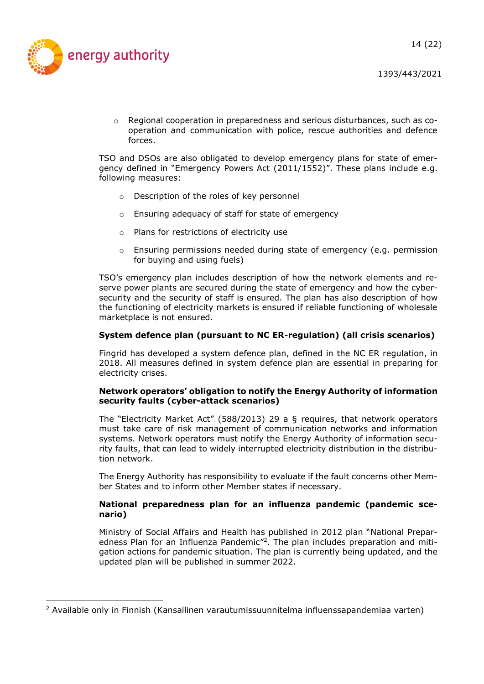

 $\circ$  Regional cooperation in preparedness and serious disturbances, such as cooperation and communication with police, rescue authorities and defence forces.

TSO and DSOs are also obligated to develop emergency plans for state of emergency defined in "Emergency Powers Act (2011/1552)". These plans include e.g. following measures:

- o Description of the roles of key personnel
- o Ensuring adequacy of staff for state of emergency
- o Plans for restrictions of electricity use
- o Ensuring permissions needed during state of emergency (e.g. permission for buying and using fuels)

TSO's emergency plan includes description of how the network elements and reserve power plants are secured during the state of emergency and how the cybersecurity and the security of staff is ensured. The plan has also description of how the functioning of electricity markets is ensured if reliable functioning of wholesale marketplace is not ensured.

#### **System defence plan (pursuant to NC ER-regulation) (all crisis scenarios)**

Fingrid has developed a system defence plan, defined in the NC ER regulation, in 2018. All measures defined in system defence plan are essential in preparing for electricity crises.

#### **Network operators' obligation to notify the Energy Authority of information security faults (cyber-attack scenarios)**

The "Electricity Market Act" (588/2013) 29 a § requires, that network operators must take care of risk management of communication networks and information systems. Network operators must notify the Energy Authority of information security faults, that can lead to widely interrupted electricity distribution in the distribution network.

The Energy Authority has responsibility to evaluate if the fault concerns other Member States and to inform other Member states if necessary.

#### **National preparedness plan for an influenza pandemic (pandemic scenario)**

Ministry of Social Affairs and Health has published in 2012 plan "National Preparedness Plan for an Influenza Pandemic"<sup>2</sup>. The plan includes preparation and mitigation actions for pandemic situation. The plan is currently being updated, and the updated plan will be published in summer 2022.

 $2$  Available only in Finnish (Kansallinen varautumissuunnitelma influenssapandemiaa varten)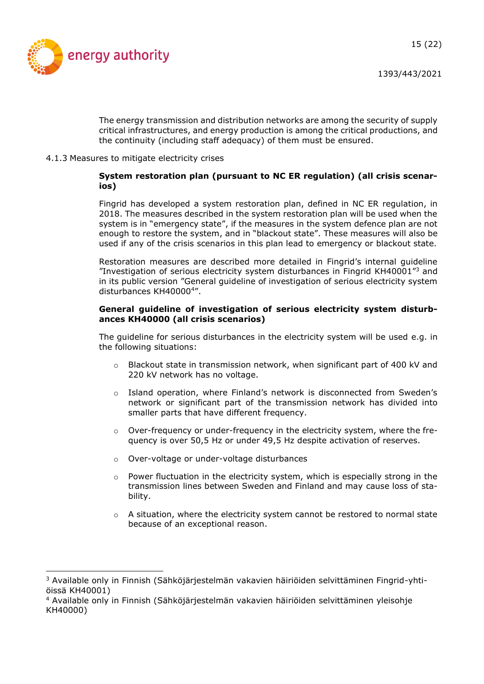

The energy transmission and distribution networks are among the security of supply critical infrastructures, and energy production is among the critical productions, and the continuity (including staff adequacy) of them must be ensured.

<span id="page-14-0"></span>4.1.3 Measures to mitigate electricity crises

#### **System restoration plan (pursuant to NC ER regulation) (all crisis scenarios)**

Fingrid has developed a system restoration plan, defined in NC ER regulation, in 2018. The measures described in the system restoration plan will be used when the system is in "emergency state", if the measures in the system defence plan are not enough to restore the system, and in "blackout state". These measures will also be used if any of the crisis scenarios in this plan lead to emergency or blackout state.

Restoration measures are described more detailed in Fingrid's internal guideline "Investigation of serious electricity system disturbances in Fingrid KH40001 $^{\prime\prime}$ 3 and in its public version "General guideline of investigation of serious electricity system disturbances KH40000<sup>4</sup> ".

#### **General guideline of investigation of serious electricity system disturbances KH40000 (all crisis scenarios)**

The guideline for serious disturbances in the electricity system will be used e.g. in the following situations:

- $\circ$  Blackout state in transmission network, when significant part of 400 kV and 220 kV network has no voltage.
- o Island operation, where Finland's network is disconnected from Sweden's network or significant part of the transmission network has divided into smaller parts that have different frequency.
- $\circ$  Over-frequency or under-frequency in the electricity system, where the frequency is over 50,5 Hz or under 49,5 Hz despite activation of reserves.
- o Over-voltage or under-voltage disturbances
- $\circ$  Power fluctuation in the electricity system, which is especially strong in the transmission lines between Sweden and Finland and may cause loss of stability.
- o A situation, where the electricity system cannot be restored to normal state because of an exceptional reason.

<sup>3</sup> Available only in Finnish (Sähköjärjestelmän vakavien häiriöiden selvittäminen Fingrid-yhtiöissä KH40001)

<sup>4</sup> Available only in Finnish (Sähköjärjestelmän vakavien häiriöiden selvittäminen yleisohje KH40000)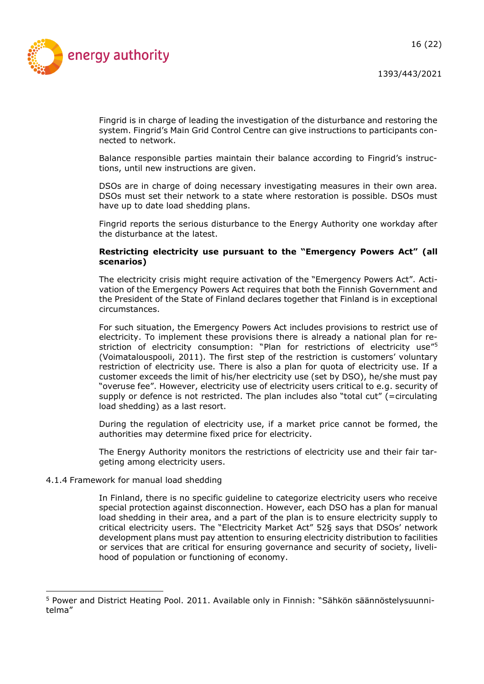16 (22)



1393/443/2021

Fingrid is in charge of leading the investigation of the disturbance and restoring the system. Fingrid's Main Grid Control Centre can give instructions to participants connected to network.

Balance responsible parties maintain their balance according to Fingrid's instructions, until new instructions are given.

DSOs are in charge of doing necessary investigating measures in their own area. DSOs must set their network to a state where restoration is possible. DSOs must have up to date load shedding plans.

Fingrid reports the serious disturbance to the Energy Authority one workday after the disturbance at the latest.

#### **Restricting electricity use pursuant to the "Emergency Powers Act" (all scenarios)**

The electricity crisis might require activation of the "Emergency Powers Act". Activation of the Emergency Powers Act requires that both the Finnish Government and the President of the State of Finland declares together that Finland is in exceptional circumstances.

For such situation, the Emergency Powers Act includes provisions to restrict use of electricity. To implement these provisions there is already a national plan for restriction of electricity consumption: "Plan for restrictions of electricity use"<sup>5</sup> (Voimatalouspooli, 2011). The first step of the restriction is customers' voluntary restriction of electricity use. There is also a plan for quota of electricity use. If a customer exceeds the limit of his/her electricity use (set by DSO), he/she must pay "overuse fee". However, electricity use of electricity users critical to e.g. security of supply or defence is not restricted. The plan includes also "total cut" (=circulating load shedding) as a last resort.

During the regulation of electricity use, if a market price cannot be formed, the authorities may determine fixed price for electricity.

The Energy Authority monitors the restrictions of electricity use and their fair targeting among electricity users.

#### <span id="page-15-0"></span>4.1.4 Framework for manual load shedding

In Finland, there is no specific guideline to categorize electricity users who receive special protection against disconnection. However, each DSO has a plan for manual load shedding in their area, and a part of the plan is to ensure electricity supply to critical electricity users. The "Electricity Market Act" 52§ says that DSOs' network development plans must pay attention to ensuring electricity distribution to facilities or services that are critical for ensuring governance and security of society, livelihood of population or functioning of economy.

<sup>5</sup> Power and District Heating Pool. 2011. Available only in Finnish: "Sähkön säännöstelysuunnitelma"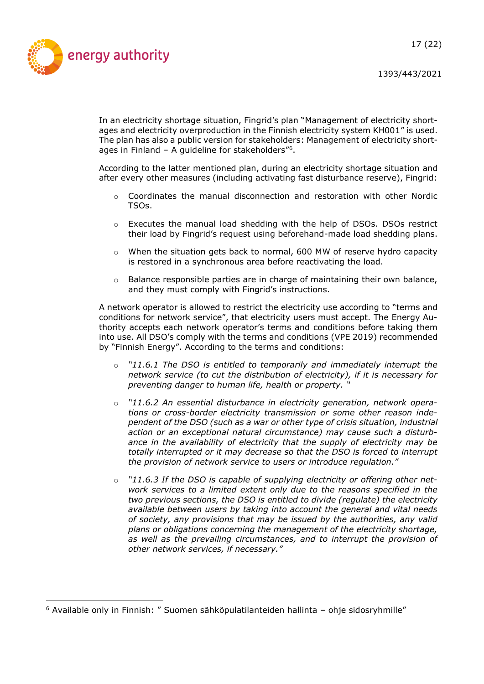

In an electricity shortage situation, Fingrid's plan "Management of electricity shortages and electricity overproduction in the Finnish electricity system KH001" is used. The plan has also a public version for stakeholders: Management of electricity shortages in Finland - A guideline for stakeholders"<sup>6</sup>.

According to the latter mentioned plan, during an electricity shortage situation and after every other measures (including activating fast disturbance reserve), Fingrid:

- $\circ$  Coordinates the manual disconnection and restoration with other Nordic TSOs.
- $\circ$  Executes the manual load shedding with the help of DSOs. DSOs restrict their load by Fingrid's request using beforehand-made load shedding plans.
- $\circ$  When the situation gets back to normal, 600 MW of reserve hydro capacity is restored in a synchronous area before reactivating the load.
- $\circ$  Balance responsible parties are in charge of maintaining their own balance, and they must comply with Fingrid's instructions.

A network operator is allowed to restrict the electricity use according to "terms and conditions for network service", that electricity users must accept. The Energy Authority accepts each network operator's terms and conditions before taking them into use. All DSO's comply with the terms and conditions (VPE 2019) recommended by "Finnish Energy". According to the terms and conditions:

- o *"11.6.1 The DSO is entitled to temporarily and immediately interrupt the network service (to cut the distribution of electricity), if it is necessary for preventing danger to human life, health or property. "*
- o *"11.6.2 An essential disturbance in electricity generation, network operations or cross-border electricity transmission or some other reason independent of the DSO (such as a war or other type of crisis situation, industrial action or an exceptional natural circumstance) may cause such a disturbance in the availability of electricity that the supply of electricity may be totally interrupted or it may decrease so that the DSO is forced to interrupt the provision of network service to users or introduce regulation."*
- "11.6.3 If the DSO is capable of supplying electricity or offering other net*work services to a limited extent only due to the reasons specified in the two previous sections, the DSO is entitled to divide (regulate) the electricity available between users by taking into account the general and vital needs of society, any provisions that may be issued by the authorities, any valid plans or obligations concerning the management of the electricity shortage, as well as the prevailing circumstances, and to interrupt the provision of other network services, if necessary."*

<sup>6</sup> Available only in Finnish: " Suomen sähköpulatilanteiden hallinta – ohje sidosryhmille"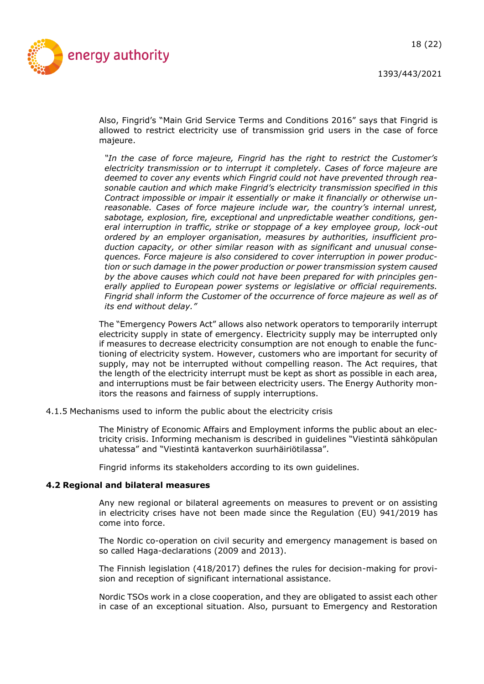

Also, Fingrid's "Main Grid Service Terms and Conditions 2016" says that Fingrid is allowed to restrict electricity use of transmission grid users in the case of force majeure.

*"In the case of force majeure, Fingrid has the right to restrict the Customer's electricity transmission or to interrupt it completely. Cases of force majeure are deemed to cover any events which Fingrid could not have prevented through reasonable caution and which make Fingrid's electricity transmission specified in this Contract impossible or impair it essentially or make it financially or otherwise unreasonable. Cases of force majeure include war, the country's internal unrest, sabotage, explosion, fire, exceptional and unpredictable weather conditions, general interruption in traffic, strike or stoppage of a key employee group, lock-out ordered by an employer organisation, measures by authorities, insufficient production capacity, or other similar reason with as significant and unusual consequences. Force majeure is also considered to cover interruption in power production or such damage in the power production or power transmission system caused by the above causes which could not have been prepared for with principles generally applied to European power systems or legislative or official requirements. Fingrid shall inform the Customer of the occurrence of force majeure as well as of its end without delay."*

The "Emergency Powers Act" allows also network operators to temporarily interrupt electricity supply in state of emergency. Electricity supply may be interrupted only if measures to decrease electricity consumption are not enough to enable the functioning of electricity system. However, customers who are important for security of supply, may not be interrupted without compelling reason. The Act requires, that the length of the electricity interrupt must be kept as short as possible in each area, and interruptions must be fair between electricity users. The Energy Authority monitors the reasons and fairness of supply interruptions.

<span id="page-17-0"></span>4.1.5 Mechanisms used to inform the public about the electricity crisis

The Ministry of Economic Affairs and Employment informs the public about an electricity crisis. Informing mechanism is described in guidelines "Viestintä sähköpulan uhatessa" and "Viestintä kantaverkon suurhäiriötilassa".

Fingrid informs its stakeholders according to its own guidelines.

#### <span id="page-17-1"></span>**4.2 Regional and bilateral measures**

Any new regional or bilateral agreements on measures to prevent or on assisting in electricity crises have not been made since the Regulation (EU) 941/2019 has come into force.

The Nordic co-operation on civil security and emergency management is based on so called Haga-declarations (2009 and 2013).

The Finnish legislation (418/2017) defines the rules for decision-making for provision and reception of significant international assistance.

Nordic TSOs work in a close cooperation, and they are obligated to assist each other in case of an exceptional situation. Also, pursuant to Emergency and Restoration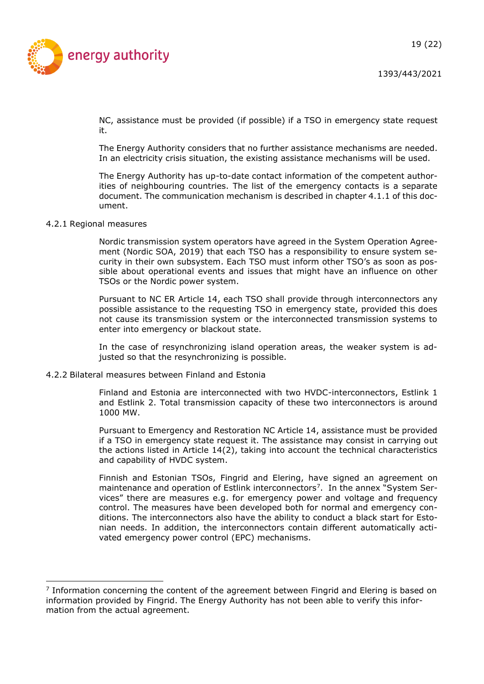

NC, assistance must be provided (if possible) if a TSO in emergency state request it.

The Energy Authority considers that no further assistance mechanisms are needed. In an electricity crisis situation, the existing assistance mechanisms will be used.

The Energy Authority has up-to-date contact information of the competent authorities of neighbouring countries. The list of the emergency contacts is a separate document. The communication mechanism is described in chapter 4.1.1 of this document.

#### <span id="page-18-0"></span>4.2.1 Regional measures

Nordic transmission system operators have agreed in the System Operation Agreement (Nordic SOA, 2019) that each TSO has a responsibility to ensure system security in their own subsystem. Each TSO must inform other TSO's as soon as possible about operational events and issues that might have an influence on other TSOs or the Nordic power system.

Pursuant to NC ER Article 14, each TSO shall provide through interconnectors any possible assistance to the requesting TSO in emergency state, provided this does not cause its transmission system or the interconnected transmission systems to enter into emergency or blackout state.

In the case of resynchronizing island operation areas, the weaker system is adjusted so that the resynchronizing is possible.

#### <span id="page-18-1"></span>4.2.2 Bilateral measures between Finland and Estonia

Finland and Estonia are interconnected with two HVDC-interconnectors, Estlink 1 and Estlink 2. Total transmission capacity of these two interconnectors is around 1000 MW.

Pursuant to Emergency and Restoration NC Article 14, assistance must be provided if a TSO in emergency state request it. The assistance may consist in carrying out the actions listed in Article 14(2), taking into account the technical characteristics and capability of HVDC system.

Finnish and Estonian TSOs, Fingrid and Elering, have signed an agreement on maintenance and operation of Estlink interconnectors<sup>7</sup>. In the annex "System Services" there are measures e.g. for emergency power and voltage and frequency control. The measures have been developed both for normal and emergency conditions. The interconnectors also have the ability to conduct a black start for Estonian needs. In addition, the interconnectors contain different automatically activated emergency power control (EPC) mechanisms.

<sup>&</sup>lt;sup>7</sup> Information concerning the content of the agreement between Fingrid and Elering is based on information provided by Fingrid. The Energy Authority has not been able to verify this information from the actual agreement.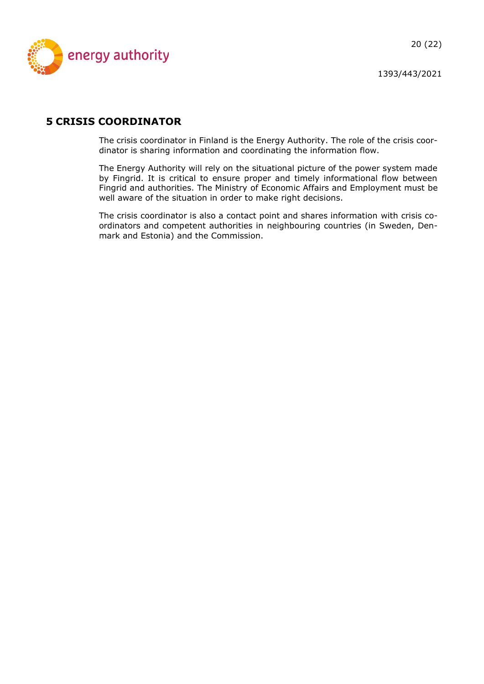

## <span id="page-19-0"></span>**5 CRISIS COORDINATOR**

The crisis coordinator in Finland is the Energy Authority. The role of the crisis coordinator is sharing information and coordinating the information flow.

The Energy Authority will rely on the situational picture of the power system made by Fingrid. It is critical to ensure proper and timely informational flow between Fingrid and authorities. The Ministry of Economic Affairs and Employment must be well aware of the situation in order to make right decisions.

The crisis coordinator is also a contact point and shares information with crisis coordinators and competent authorities in neighbouring countries (in Sweden, Denmark and Estonia) and the Commission.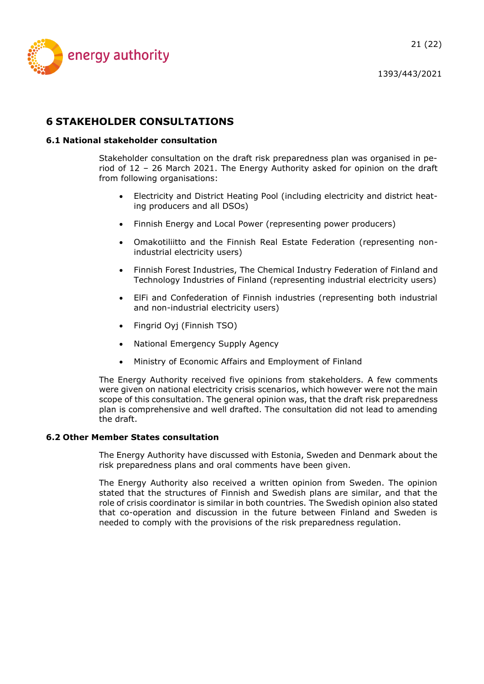

## <span id="page-20-0"></span>**6 STAKEHOLDER CONSULTATIONS**

#### <span id="page-20-1"></span>**6.1 National stakeholder consultation**

Stakeholder consultation on the draft risk preparedness plan was organised in period of 12 – 26 March 2021. The Energy Authority asked for opinion on the draft from following organisations:

- Electricity and District Heating Pool (including electricity and district heating producers and all DSOs)
- Finnish Energy and Local Power (representing power producers)
- Omakotiliitto and the Finnish Real Estate Federation (representing nonindustrial electricity users)
- Finnish Forest Industries, The Chemical Industry Federation of Finland and Technology Industries of Finland (representing industrial electricity users)
- ElFi and Confederation of Finnish industries (representing both industrial and non-industrial electricity users)
- Fingrid Oyj (Finnish TSO)
- National Emergency Supply Agency
- Ministry of Economic Affairs and Employment of Finland

The Energy Authority received five opinions from stakeholders. A few comments were given on national electricity crisis scenarios, which however were not the main scope of this consultation. The general opinion was, that the draft risk preparedness plan is comprehensive and well drafted. The consultation did not lead to amending the draft.

#### <span id="page-20-2"></span>**6.2 Other Member States consultation**

The Energy Authority have discussed with Estonia, Sweden and Denmark about the risk preparedness plans and oral comments have been given.

The Energy Authority also received a written opinion from Sweden. The opinion stated that the structures of Finnish and Swedish plans are similar, and that the role of crisis coordinator is similar in both countries. The Swedish opinion also stated that co-operation and discussion in the future between Finland and Sweden is needed to comply with the provisions of the risk preparedness regulation.